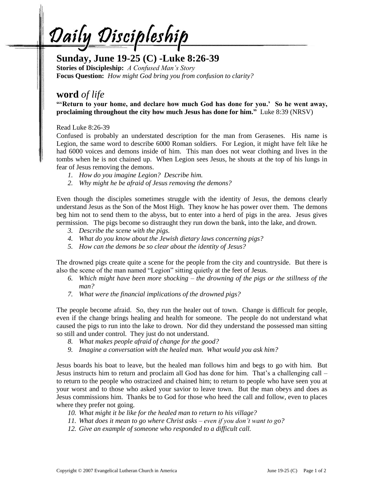<u>Daily Discipleship</u>

## **Sunday, June 19-25 (C) -Luke 8:26-39**

**Stories of Discipleship:** *A Confused Man's Story* **Focus Question:** *How might God bring you from confusion to clarity?*

## **word** *of life*

**"'Return to your home, and declare how much God has done for you.' So he went away, proclaiming throughout the city how much Jesus has done for him."** Luke 8:39 (NRSV)

Read Luke 8:26-39

Confused is probably an understated description for the man from Gerasenes. His name is Legion, the same word to describe 6000 Roman soldiers. For Legion, it might have felt like he had 6000 voices and demons inside of him. This man does not wear clothing and lives in the tombs when he is not chained up. When Legion sees Jesus, he shouts at the top of his lungs in fear of Jesus removing the demons.

- *1. How do you imagine Legion? Describe him.*
- *2. Why might he be afraid of Jesus removing the demons?*

Even though the disciples sometimes struggle with the identity of Jesus, the demons clearly understand Jesus as the Son of the Most High. They know he has power over them. The demons beg him not to send them to the abyss, but to enter into a herd of pigs in the area. Jesus gives permission. The pigs become so distraught they run down the bank, into the lake, and drown.

- *3. Describe the scene with the pigs.*
- *4. What do you know about the Jewish dietary laws concerning pigs?*
- *5. How can the demons be so clear about the identity of Jesus?*

The drowned pigs create quite a scene for the people from the city and countryside. But there is also the scene of the man named "Legion" sitting quietly at the feet of Jesus.

- *6. Which might have been more shocking – the drowning of the pigs or the stillness of the man?*
- *7. What were the financial implications of the drowned pigs?*

The people become afraid. So, they run the healer out of town. Change is difficult for people, even if the change brings healing and health for someone. The people do not understand what caused the pigs to run into the lake to drown. Nor did they understand the possessed man sitting so still and under control. They just do not understand.

- *8. What makes people afraid of change for the good?*
- *9. Imagine a conversation with the healed man. What would you ask him?*

Jesus boards his boat to leave, but the healed man follows him and begs to go with him. But Jesus instructs him to return and proclaim all God has done for him. That's a challenging call – to return to the people who ostracized and chained him; to return to people who have seen you at your worst and to those who asked your savior to leave town. But the man obeys and does as Jesus commissions him. Thanks be to God for those who heed the call and follow, even to places where they prefer not going.

- *10. What might it be like for the healed man to return to his village?*
- *11. What does it mean to go where Christ asks – even if you don't want to go?*
- *12. Give an example of someone who responded to a difficult call.*